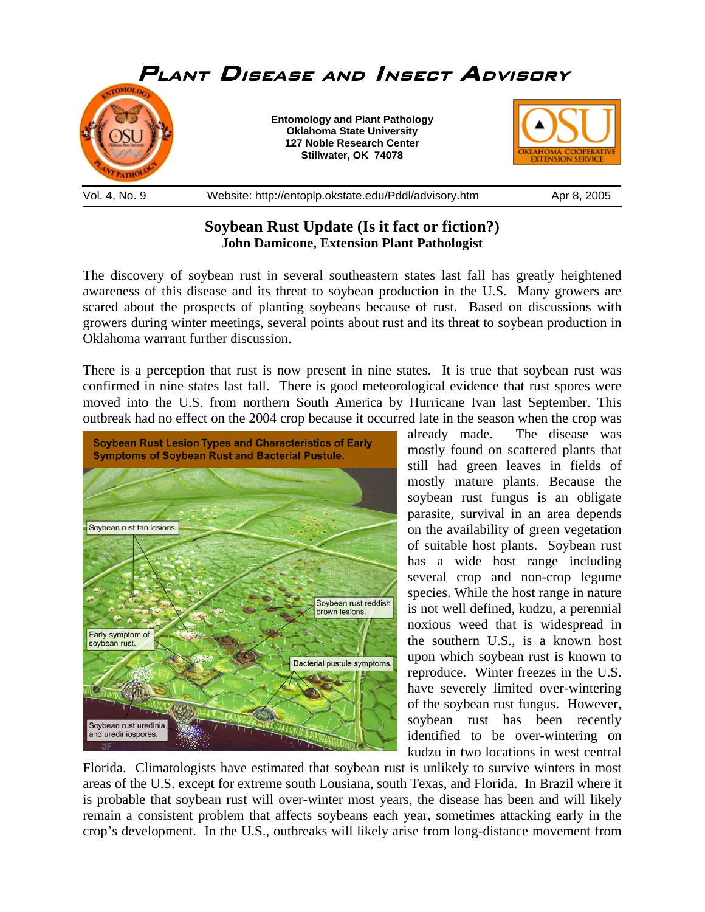

## **Soybean Rust Update (Is it fact or fiction?) John Damicone, Extension Plant Pathologist**

The discovery of soybean rust in several southeastern states last fall has greatly heightened awareness of this disease and its threat to soybean production in the U.S. Many growers are scared about the prospects of planting soybeans because of rust. Based on discussions with growers during winter meetings, several points about rust and its threat to soybean production in Oklahoma warrant further discussion.

There is a perception that rust is now present in nine states. It is true that soybean rust was confirmed in nine states last fall. There is good meteorological evidence that rust spores were moved into the U.S. from northern South America by Hurricane Ivan last September. This outbreak had no effect on the 2004 crop because it occurred late in the season when the crop was



already made. The disease was mostly found on scattered plants that still had green leaves in fields of mostly mature plants. Because the soybean rust fungus is an obligate parasite, survival in an area depends on the availability of green vegetation of suitable host plants. Soybean rust has a wide host range including several crop and non-crop legume species. While the host range in nature is not well defined, kudzu, a perennial noxious weed that is widespread in the southern U.S., is a known host upon which soybean rust is known to reproduce. Winter freezes in the U.S. have severely limited over-wintering of the soybean rust fungus. However, soybean rust has been recently identified to be over-wintering on kudzu in two locations in west central

Florida. Climatologists have estimated that soybean rust is unlikely to survive winters in most areas of the U.S. except for extreme south Lousiana, south Texas, and Florida. In Brazil where it is probable that soybean rust will over-winter most years, the disease has been and will likely remain a consistent problem that affects soybeans each year, sometimes attacking early in the crop's development. In the U.S., outbreaks will likely arise from long-distance movement from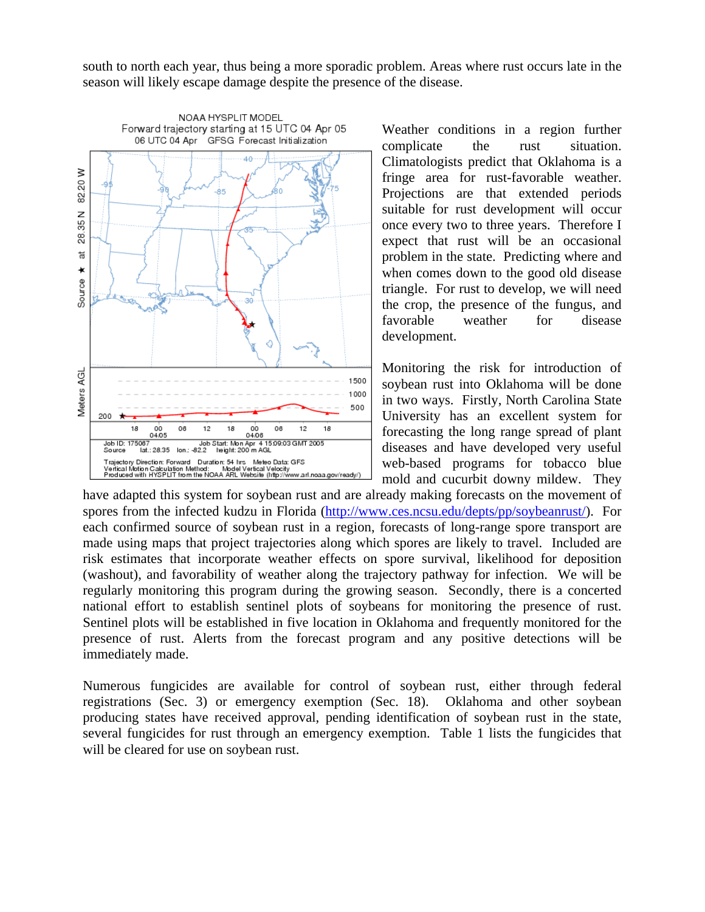south to north each year, thus being a more sporadic problem. Areas where rust occurs late in the season will likely escape damage despite the presence of the disease.



Weather conditions in a region further complicate the rust situation. Climatologists predict that Oklahoma is a fringe area for rust-favorable weather. Projections are that extended periods suitable for rust development will occur once every two to three years. Therefore I expect that rust will be an occasional problem in the state. Predicting where and when comes down to the good old disease triangle. For rust to develop, we will need the crop, the presence of the fungus, and favorable weather for disease development.

Monitoring the risk for introduction of soybean rust into Oklahoma will be done in two ways. Firstly, North Carolina State University has an excellent system for forecasting the long range spread of plant diseases and have developed very useful web-based programs for tobacco blue mold and cucurbit downy mildew. They

have adapted this system for soybean rust and are already making forecasts on the movement of spores from the infected kudzu in Florida (http://www.ces.ncsu.edu/depts/pp/soybeanrust/). For each confirmed source of soybean rust in a region, forecasts of long-range spore transport are made using maps that project trajectories along which spores are likely to travel. Included are risk estimates that incorporate weather effects on spore survival, likelihood for deposition (washout), and favorability of weather along the trajectory pathway for infection. We will be regularly monitoring this program during the growing season. Secondly, there is a concerted national effort to establish sentinel plots of soybeans for monitoring the presence of rust. Sentinel plots will be established in five location in Oklahoma and frequently monitored for the presence of rust. Alerts from the forecast program and any positive detections will be immediately made.

Numerous fungicides are available for control of soybean rust, either through federal registrations (Sec. 3) or emergency exemption (Sec. 18). Oklahoma and other soybean producing states have received approval, pending identification of soybean rust in the state, several fungicides for rust through an emergency exemption. Table 1 lists the fungicides that will be cleared for use on soybean rust.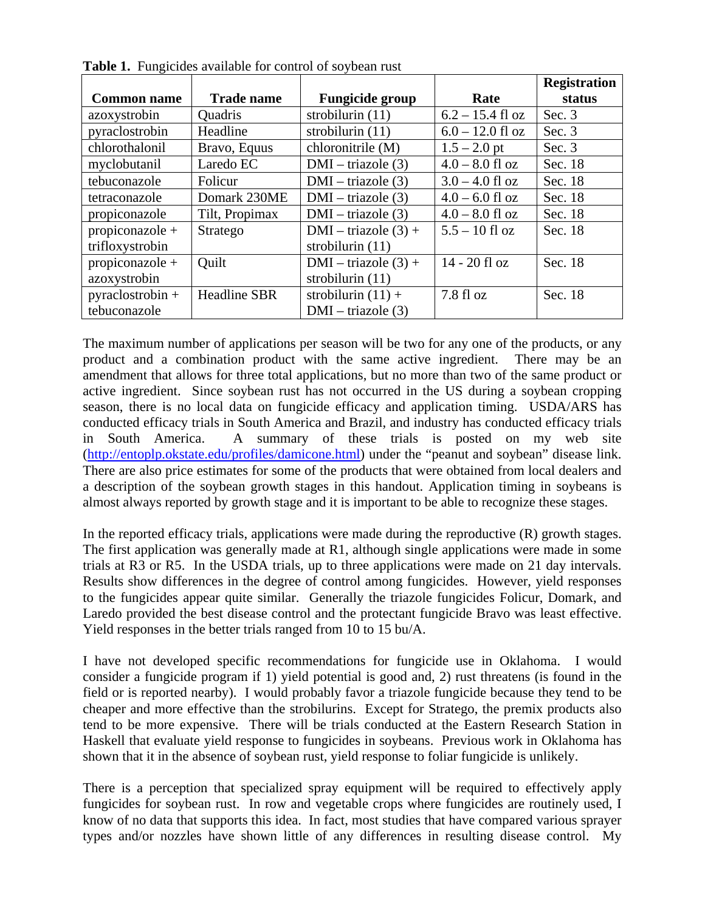|                    |                     |                        |                     | <b>Registration</b> |
|--------------------|---------------------|------------------------|---------------------|---------------------|
| <b>Common name</b> | <b>Trade name</b>   | <b>Fungicide group</b> | Rate                | status              |
| azoxystrobin       | <b>Quadris</b>      | strobilurin (11)       | $6.2 - 15.4$ fl oz  | Sec. $3$            |
| pyraclostrobin     | Headline            | strobilurin $(11)$     | $6.0 - 12.0$ fl oz  | Sec. $3$            |
| chlorothalonil     | Bravo, Equus        | chloronitrile (M)      | $1.5 - 2.0$ pt      | Sec. $3$            |
| myclobutanil       | Laredo EC           | $DMI - triazole(3)$    | $4.0 - 8.0$ fl oz   | Sec. 18             |
| tebuconazole       | Folicur             | $DMI - triazole(3)$    | $3.0 - 4.0$ fl oz   | Sec. 18             |
| tetraconazole      | Domark 230ME        | $DMI - triazole(3)$    | $4.0 - 6.0$ fl oz   | Sec. 18             |
| propiconazole      | Tilt, Propimax      | $DMI - triazole(3)$    | $4.0 - 8.0$ fl oz   | Sec. 18             |
| propiconazole $+$  | Stratego            | $DMI - triazole (3) +$ | $5.5 - 10$ fl oz    | Sec. 18             |
| trifloxystrobin    |                     | strobilurin $(11)$     |                     |                     |
| propiconazole +    | Quilt               | $DMI - triazole (3) +$ | $14 - 20$ fl oz     | Sec. 18             |
| azoxystrobin       |                     | strobilurin $(11)$     |                     |                     |
| pyraclostrobin +   | <b>Headline SBR</b> | strobilurin $(11) +$   | $7.8 \text{ fl oz}$ | Sec. 18             |
| tebuconazole       |                     | $DMI - triazole(3)$    |                     |                     |

**Table 1.** Fungicides available for control of soybean rust

The maximum number of applications per season will be two for any one of the products, or any product and a combination product with the same active ingredient. There may be an amendment that allows for three total applications, but no more than two of the same product or active ingredient. Since soybean rust has not occurred in the US during a soybean cropping season, there is no local data on fungicide efficacy and application timing. USDA/ARS has conducted efficacy trials in South America and Brazil, and industry has conducted efficacy trials in South America. A summary of these trials is posted on my web site (http://entoplp.okstate.edu/profiles/damicone.html) under the "peanut and soybean" disease link. There are also price estimates for some of the products that were obtained from local dealers and a description of the soybean growth stages in this handout. Application timing in soybeans is almost always reported by growth stage and it is important to be able to recognize these stages.

In the reported efficacy trials, applications were made during the reproductive (R) growth stages. The first application was generally made at R1, although single applications were made in some trials at R3 or R5. In the USDA trials, up to three applications were made on 21 day intervals. Results show differences in the degree of control among fungicides. However, yield responses to the fungicides appear quite similar. Generally the triazole fungicides Folicur, Domark, and Laredo provided the best disease control and the protectant fungicide Bravo was least effective. Yield responses in the better trials ranged from 10 to 15 bu/A.

I have not developed specific recommendations for fungicide use in Oklahoma. I would consider a fungicide program if 1) yield potential is good and, 2) rust threatens (is found in the field or is reported nearby). I would probably favor a triazole fungicide because they tend to be cheaper and more effective than the strobilurins. Except for Stratego, the premix products also tend to be more expensive. There will be trials conducted at the Eastern Research Station in Haskell that evaluate yield response to fungicides in soybeans. Previous work in Oklahoma has shown that it in the absence of soybean rust, yield response to foliar fungicide is unlikely.

There is a perception that specialized spray equipment will be required to effectively apply fungicides for soybean rust. In row and vegetable crops where fungicides are routinely used, I know of no data that supports this idea. In fact, most studies that have compared various sprayer types and/or nozzles have shown little of any differences in resulting disease control. My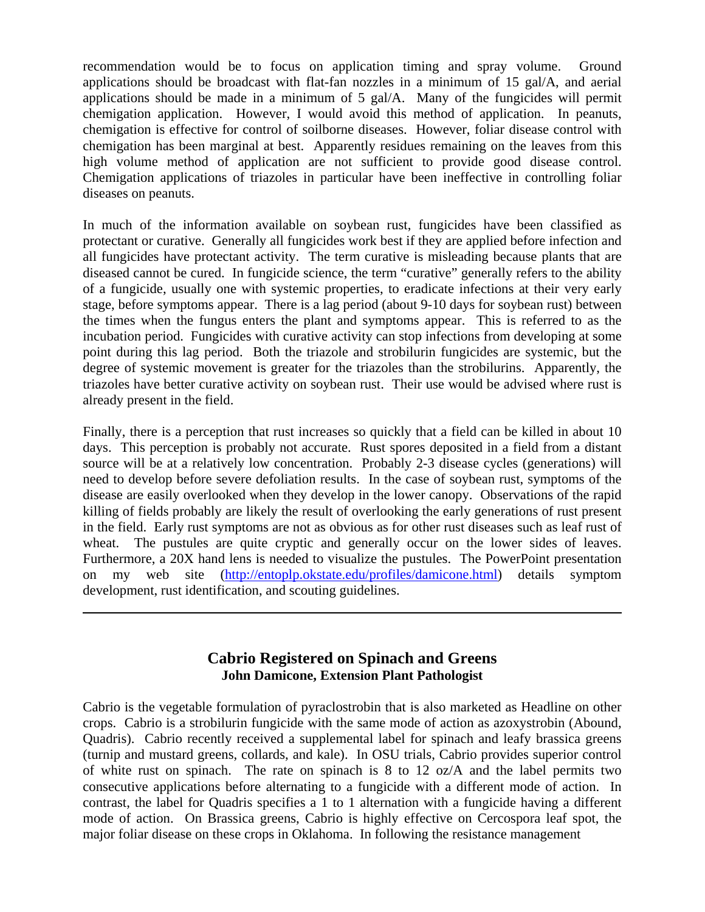recommendation would be to focus on application timing and spray volume. Ground applications should be broadcast with flat-fan nozzles in a minimum of 15 gal/A, and aerial applications should be made in a minimum of 5 gal/A. Many of the fungicides will permit chemigation application. However, I would avoid this method of application. In peanuts, chemigation is effective for control of soilborne diseases. However, foliar disease control with chemigation has been marginal at best. Apparently residues remaining on the leaves from this high volume method of application are not sufficient to provide good disease control. Chemigation applications of triazoles in particular have been ineffective in controlling foliar diseases on peanuts.

In much of the information available on soybean rust, fungicides have been classified as protectant or curative. Generally all fungicides work best if they are applied before infection and all fungicides have protectant activity. The term curative is misleading because plants that are diseased cannot be cured. In fungicide science, the term "curative" generally refers to the ability of a fungicide, usually one with systemic properties, to eradicate infections at their very early stage, before symptoms appear. There is a lag period (about 9-10 days for soybean rust) between the times when the fungus enters the plant and symptoms appear. This is referred to as the incubation period. Fungicides with curative activity can stop infections from developing at some point during this lag period. Both the triazole and strobilurin fungicides are systemic, but the degree of systemic movement is greater for the triazoles than the strobilurins. Apparently, the triazoles have better curative activity on soybean rust. Their use would be advised where rust is already present in the field.

Finally, there is a perception that rust increases so quickly that a field can be killed in about 10 days. This perception is probably not accurate. Rust spores deposited in a field from a distant source will be at a relatively low concentration. Probably 2-3 disease cycles (generations) will need to develop before severe defoliation results. In the case of soybean rust, symptoms of the disease are easily overlooked when they develop in the lower canopy. Observations of the rapid killing of fields probably are likely the result of overlooking the early generations of rust present in the field. Early rust symptoms are not as obvious as for other rust diseases such as leaf rust of wheat. The pustules are quite cryptic and generally occur on the lower sides of leaves. Furthermore, a 20X hand lens is needed to visualize the pustules. The PowerPoint presentation on my web site (http://entoplp.okstate.edu/profiles/damicone.html) details symptom development, rust identification, and scouting guidelines.

## **Cabrio Registered on Spinach and Greens John Damicone, Extension Plant Pathologist**

 $\overline{a}$ 

Cabrio is the vegetable formulation of pyraclostrobin that is also marketed as Headline on other crops. Cabrio is a strobilurin fungicide with the same mode of action as azoxystrobin (Abound, Quadris). Cabrio recently received a supplemental label for spinach and leafy brassica greens (turnip and mustard greens, collards, and kale). In OSU trials, Cabrio provides superior control of white rust on spinach. The rate on spinach is 8 to 12 oz/A and the label permits two consecutive applications before alternating to a fungicide with a different mode of action. In contrast, the label for Quadris specifies a 1 to 1 alternation with a fungicide having a different mode of action. On Brassica greens, Cabrio is highly effective on Cercospora leaf spot, the major foliar disease on these crops in Oklahoma. In following the resistance management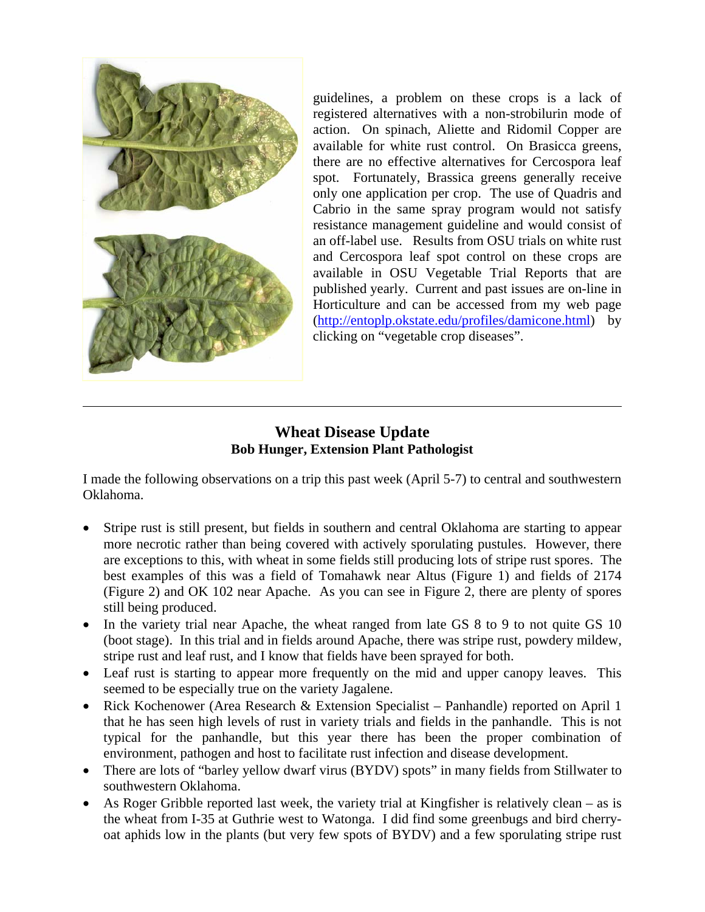

 $\overline{a}$ 

guidelines, a problem on these crops is a lack of registered alternatives with a non-strobilurin mode of action. On spinach, Aliette and Ridomil Copper are available for white rust control. On Brasicca greens, there are no effective alternatives for Cercospora leaf spot. Fortunately, Brassica greens generally receive only one application per crop. The use of Quadris and Cabrio in the same spray program would not satisfy resistance management guideline and would consist of an off-label use. Results from OSU trials on white rust and Cercospora leaf spot control on these crops are available in OSU Vegetable Trial Reports that are published yearly. Current and past issues are on-line in Horticulture and can be accessed from my web page (http://entoplp.okstate.edu/profiles/damicone.html) by clicking on "vegetable crop diseases".

## **Wheat Disease Update Bob Hunger, Extension Plant Pathologist**

I made the following observations on a trip this past week (April 5-7) to central and southwestern Oklahoma.

- Stripe rust is still present, but fields in southern and central Oklahoma are starting to appear more necrotic rather than being covered with actively sporulating pustules. However, there are exceptions to this, with wheat in some fields still producing lots of stripe rust spores. The best examples of this was a field of Tomahawk near Altus (Figure 1) and fields of 2174 (Figure 2) and OK 102 near Apache. As you can see in Figure 2, there are plenty of spores still being produced.
- In the variety trial near Apache, the wheat ranged from late GS 8 to 9 to not quite GS 10 (boot stage). In this trial and in fields around Apache, there was stripe rust, powdery mildew, stripe rust and leaf rust, and I know that fields have been sprayed for both.
- Leaf rust is starting to appear more frequently on the mid and upper canopy leaves. This seemed to be especially true on the variety Jagalene.
- Rick Kochenower (Area Research & Extension Specialist Panhandle) reported on April 1 that he has seen high levels of rust in variety trials and fields in the panhandle. This is not typical for the panhandle, but this year there has been the proper combination of environment, pathogen and host to facilitate rust infection and disease development.
- There are lots of "barley yellow dwarf virus (BYDV) spots" in many fields from Stillwater to southwestern Oklahoma.
- As Roger Gribble reported last week, the variety trial at Kingfisher is relatively clean as is the wheat from I-35 at Guthrie west to Watonga. I did find some greenbugs and bird cherryoat aphids low in the plants (but very few spots of BYDV) and a few sporulating stripe rust